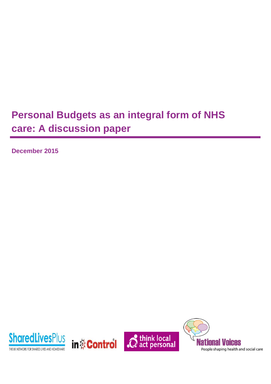# **Personal Budgets as an integral form of NHS care: A discussion paper**

**December 2015**

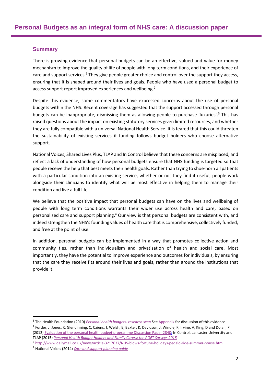#### **Summary**

There is growing evidence that personal budgets can be an effective, valued and value for money mechanism to improve the quality of life of people with long term conditions, and their experience of care and support services.<sup>1</sup> They give people greater choice and control over the support they access, ensuring that it is shaped around their lives and goals. People who have used a personal budget to access support report improved experiences and wellbeing.<sup>2</sup>

Despite this evidence, some commentators have expressed concerns about the use of personal budgets within the NHS. Recent coverage has suggested that the support accessed through personal budgets can be inappropriate, dismissing them as allowing people to purchase 'luxuries'. <sup>3</sup> This has raised questions about the impact on existing statutory services given limited resources, and whether they are fully compatible with a universal National Health Service. It is feared that this could threaten the sustainability of existing services if funding follows budget holders who choose alternative support.

National Voices, Shared Lives Plus, TLAP and In Control believe that these concerns are misplaced, and reflect a lack of understanding of how personal budgets ensure that NHS funding is targeted so that people receive the help that best meets their health goals. Rather than trying to shoe-horn all patients with a particular condition into an existing service, whether or not they find it useful, people work alongside their clinicians to identify what will be most effective in helping them to manage their condition and live a full life.

We believe that the positive impact that personal budgets can have on the lives and wellbeing of people with long term conditions warrants their wider use across health and care, based on personalised care and support planning.<sup>4</sup> Our view is that personal budgets are consistent with, and indeed strengthen the NHS's founding values of health care that is comprehensive, collectively funded, and free at the point of use.

In addition, personal budgets can be implemented in a way that promotes collective action and community ties, rather than individualism and privatisation of health and social care. Most importantly, they have the potential to improve experience and outcomes for individuals, by ensuring that the care they receive fits around their lives and goals, rather than around the institutions that provide it.

<sup>&</sup>lt;sup>1</sup> The Health Foundation (2010) *[Personal health budgets: research scan](http://www.health.org.uk/public/cms/75/76/313/2594/personal%20health%20budgets.pdf?realName=wiYPsk.pdf)* See Appendix for discussion of this evidence 2 Forder, J, Jones, K, Glendinning, C, Caiens, J, Welsh, E, Baxter, K, Davidson, J, Windle, K, Irvine, A, King, D and Dolan, P (2012[\) Evaluation of the personal health budget programme Discussion Paper 2840;](http://www.york.ac.uk/inst/spru/research/pdf/phbe.pdf) In Control, Lancaster University and TLAP (2015) *[Personal Health Budget Holders and Family Carers: the POET Surveys 2015](http://www.thinklocalactpersonal.org.uk/_library/Resources/SDS/POETPHB2015FINAL.pdf)* 

<sup>3</sup> <http://www.dailymail.co.uk/news/article-3217637/NHS-blows-fortune-holidays-pedalo-ride-summer-house.html>

<sup>4</sup> National Voices (2014) *[Care and support planning guide](http://www.nationalvoices.org.uk/sites/www.nationalvoices.org.uk/files/guide_to_care_and_support_planning_final.pdf)*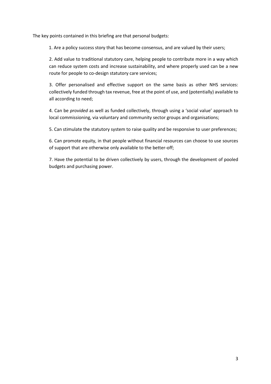The key points contained in this briefing are that personal budgets:

1. Are a policy success story that has become consensus, and are valued by their users;

2. Add value to traditional statutory care, helping people to contribute more in a way which can reduce system costs and increase sustainability, and where properly used can be a new route for people to co-design statutory care services;

3. Offer personalised and effective support on the same basis as other NHS services: collectively funded through tax revenue, free at the point of use, and (potentially) available to all according to need;

4. Can be *provided* as well as funded collectively, through using a 'social value' approach to local commissioning, via voluntary and community sector groups and organisations;

5. Can stimulate the statutory system to raise quality and be responsive to user preferences;

6. Can promote equity, in that people without financial resources can choose to use sources of support that are otherwise only available to the better-off;

7. Have the potential to be driven collectively by users, through the development of pooled budgets and purchasing power.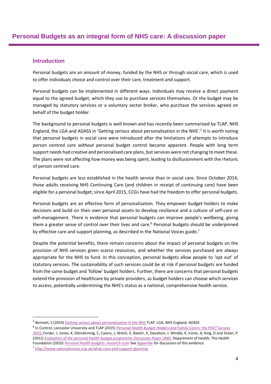#### **Introduction**

Personal budgets are an amount of money, funded by the NHS or through social care, which is used to offer individuals choice and control over their care, treatment and support.

Personal budgets can be implemented in different ways. Individuals may receive a direct payment equal to the agreed budget, which they use to purchase services themselves. Or the budget may be managed by statutory services or a voluntary sector broker, who purchase the services agreed on behalf of the budget holder.

The background to personal budgets is well known and has recently been summarised by TLAP, NHS England, the LGA and ADASS in 'Getting serious about personalisation in the NHS'.<sup>5</sup> It is worth noting that personal budgets in social care were introduced after the limitations of attempts to introduce person centred care *without* personal budget control became apparent. People with long term support needs had creative and personalised care plans, but services were not changing to meet these. The plans were not affecting how money was being spent, leading to disillusionment with the rhetoric of person centred care.

Personal budgets are less established in the health service than in social care. Since October 2014, those adults receiving NHS Continuing Care (and children in receipt of continuing care) have been eligible for a personal budget; since April 2015, CCGs have had the freedom to offer personal budgets.

Personal budgets are an effective form of personalisation. They empower budget holders to make decisions and build on their own personal assets to develop resilience and a culture of self-care or self-management. There is evidence that personal budgets can improve people's wellbeing, giving them a greater sense of control over their lives and care.<sup>6</sup> Personal budgets should be underpinned by effective care and support planning, as described in the National Voices guide.<sup>7</sup>

Despite the potential benefits, there remain concerns about the impact of personal budgets on the provision of NHS services given scarce resources, and whether the services purchased are always appropriate for the NHS to fund. In this conception, personal budgets allow people to 'opt out' of statutory services. The sustainability of such services could be at risk if personal budgets are funded from the same budget and 'follow' budget holders. Further, there are concerns that personal budgets extend the provision of healthcare by private providers, as budget holders can choose which services to access, potentially undermining the NHS's status as a national, comprehensive health service.

<sup>5</sup> Bennett, S (2014) *[Getting serious about personalisation in the NHS](http://www.england.nhs.uk/wp-content/uploads/2014/09/tlap-getting-serious.pdf)* TLAP, LGA, NHS England, ADASS

<sup>6</sup> In Control, Lancaster University and TLAP (2015) *[Personal Health Budget Holders and Family Carers: the POET Surveys](http://www.thinklocalactpersonal.org.uk/_library/Resources/SDS/POETPHB2015FINAL.pdf)  [2015;](http://www.thinklocalactpersonal.org.uk/_library/Resources/SDS/POETPHB2015FINAL.pdf)* Forder, J, Jones, K, Glendinning, C, Caiens, J, Welsh, E, Baxter, K, Davidson, J, Windle, K, Irvine, A, King, D and Dolan, P (2012) *[Evaluation of the personal health budget programme Discussion Paper 2840](http://www.york.ac.uk/inst/spru/research/pdf/phbe.pdf)*, Department of Health; The Health Foundation (2010) *[Personal health budgets: research scan](http://www.health.org.uk/public/cms/75/76/313/2594/personal%20health%20budgets.pdf?realName=wiYPsk.pdf)* See Appendix for discussion of this evidence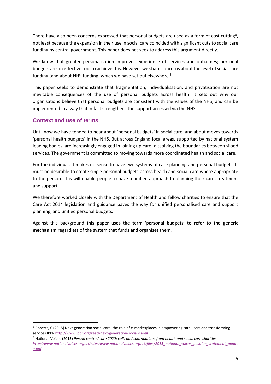There have also been concerns expressed that personal budgets are used as a form of cost cutting<sup>8</sup>, not least because the expansion in their use in social care coincided with significant cuts to social care funding by central government. This paper does not seek to address this argument directly.

We know that greater personalisation improves experience of services and outcomes; personal budgets are an effective tool to achieve this. However we share concerns about the level of social care funding (and about NHS funding) which we have set out elsewhere.<sup>9</sup>

This paper seeks to demonstrate that fragmentation, individualisation, and privatisation are not inevitable consequences of the use of personal budgets across health. It sets out why our organisations believe that personal budgets are consistent with the values of the NHS, and can be implemented in a way that in fact strengthens the support accessed via the NHS.

#### **Context and use of terms**

**.** 

Until now we have tended to hear about 'personal budgets' in social care; and about moves towards 'personal health budgets' in the NHS. But across England local areas, supported by national system leading bodies, are increasingly engaged in joining up care, dissolving the boundaries between siloed services. The government is committed to moving towards more coordinated health and social care.

For the individual, it makes no sense to have two systems of care planning and personal budgets. It must be desirable to create single personal budgets across health and social care where appropriate to the person. This will enable people to have a unified approach to planning their care, treatment and support.

We therefore worked closely with the Department of Health and fellow charities to ensure that the Care Act 2014 legislation and guidance paves the way for unified personalised care and support planning, and unified personal budgets.

Against this background **this paper uses the term 'personal budgets' to refer to the generic mechanism** regardless of the system that funds and organises them.

<sup>&</sup>lt;sup>8</sup> Roberts, C (2015) Next-generation social care: the role of e-marketplaces in empowering care users and transforming services IPPR [http://www.ippr.org/read/next-generation-social-care#](http://www.ippr.org/read/next-generation-social-care)

<sup>9</sup> National Voices (2015) *Person centred care 2020: calls and contributions from health and social care charities [http://www.nationalvoices.org.uk/sites/www.nationalvoices.org.uk/files/2015\\_national\\_voices\\_position\\_statement\\_updat](http://www.nationalvoices.org.uk/sites/www.nationalvoices.org.uk/files/2015_national_voices_position_statement_update.pdf) [e.pdf](http://www.nationalvoices.org.uk/sites/www.nationalvoices.org.uk/files/2015_national_voices_position_statement_update.pdf)*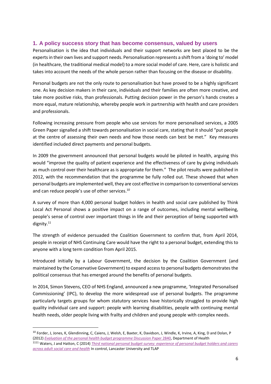#### **1. A policy success story that has become consensus, valued by users**

Personalisation is the idea that individuals and their support networks are best placed to be the expertsin their own lives and support needs. Personalisation represents a shift from a 'doing to' model (in healthcare, the traditional medical model) to a more social model of care. Here, care is holistic and takes into account the needs of the whole person rather than focusing on the disease or disability.

Personal budgets are not the only route to personalisation but have proved to be a highly significant one. As key decision makers in their care, individuals and their families are often more creative, and take more positive risks, than professionals. Putting decision power in the person's hands creates a more equal, mature relationship, whereby people work in partnership with health and care providers and professionals.

Following increasing pressure from people who use services for more personalised services, a 2005 Green Paper signalled a shift towards personalisation in social care, stating that it should "put people at the centre of assessing their own needs and how those needs can best be met." Key measures identified included direct payments and personal budgets.

In 2009 the government announced that personal budgets would be piloted in health, arguing this would "improve the quality of patient experience and the effectiveness of care by giving individuals as much control over their healthcare as is appropriate for them." The pilot results were published in 2012, with the recommendation that the programme be fully rolled out. These showed that when personal budgets are implemented well, they are cost effective in comparison to conventional services and can reduce people's use of other services.<sup>10</sup>

A survey of more than 4,000 personal budget holders in health and social care published by Think Local Act Personal shows a positive impact on a range of outcomes, including mental wellbeing, people's sense of control over important things in life and their perception of being supported with dignity.<sup>11</sup>

The strength of evidence persuaded the Coalition Government to confirm that, from April 2014, people in receipt of NHS Continuing Care would have the right to a personal budget, extending this to anyone with a long term condition from April 2015.

Introduced initially by a Labour Government, the decision by the Coalition Government (and maintained by the Conservative Government) to expand access to personal budgets demonstrates the political consensus that has emerged around the benefits of personal budgets.

In 2014, Simon Stevens, CEO of NHS England, announced a new programme, 'Integrated Personalised Commissioning' (IPC), to develop the more widespread use of personal budgets. The programme particularly targets groups for whom statutory services have historically struggled to provide high quality individual care and support: people with learning disabilities, people with continuing mental health needs, older people living with frailty and children and young people with complex needs.

<sup>&</sup>lt;sup>10</sup> Forder, J, Jones, K, Glendinning, C, Caiens, J, Welsh, E, Baxter, K, Davidson, J, Windle, K, Irvine, A, King, D and Dolan, P (2012) *[Evaluation of the personal health budget programme](http://www.york.ac.uk/inst/spru/research/pdf/phbe.pdf)* Discussion Paper 2840, Department of Health

<sup>1111</sup> Waters, J and Hatton, C (2014) *[Third national personal budget survey: experience of personal budget holders and carers](http://www.in-control.org.uk/media/168205/third%20national%20personal%20budget%20survey%20oct2014.pdf)  [across adult social care and health](http://www.in-control.org.uk/media/168205/third%20national%20personal%20budget%20survey%20oct2014.pdf)* In control, Lancaster University and TLAP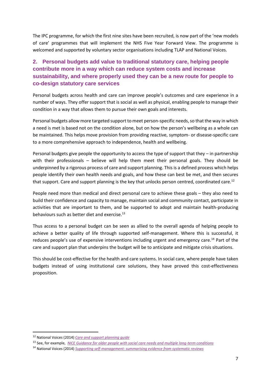The IPC programme, for which the first nine sites have been recruited, is now part of the 'new models of care' programmes that will implement the NHS Five Year Forward View. The programme is welcomed and supported by voluntary sector organisations including TLAP and National Voices.

# **2. Personal budgets add value to traditional statutory care, helping people contribute more in a way which can reduce system costs and increase sustainability, and where properly used they can be a new route for people to co-design statutory care services**

Personal budgets across health and care can improve people's outcomes and care experience in a number of ways. They offer support that is social as well as physical, enabling people to manage their condition in a way that allows them to pursue their own goals and interests.

Personal budgets allow more targeted support to meet person-specific needs, so that the way in which a need is met is based not on the condition alone, but on how the person's wellbeing as a whole can be maintained. This helps move provision from providing reactive, symptom- or disease-specific care to a more comprehensive approach to independence, health and wellbeing.

Personal budgets give people the opportunity to access the type of support that they – in partnership with their professionals – believe will help them meet their personal goals. They should be underpinned by a rigorous process of care and support planning. This is a defined process which helps people identify their own health needs and goals, and how these can best be met, and then secures that support. Care and support planning is the key that unlocks person centred, coordinated care.<sup>12</sup>

People need more than medical and direct personal care to achieve these goals – they also need to build their confidence and capacity to manage, maintain social and community contact, participate in activities that are important to them, and be supported to adopt and maintain health-producing behaviours such as better diet and exercise.<sup>13</sup>

Thus access to a personal budget can be seen as allied to the overall agenda of helping people to achieve a better quality of life through supported self-management. Where this is successful, it reduces people's use of expensive interventions including urgent and emergency care.<sup>14</sup> Part of the care and support plan that underpins the budget will be to anticipate and mitigate crisis situations.

This should be cost-effective for the health and care systems. In social care, where people have taken budgets instead of using institutional care solutions, they have proved this cost-effectiveness proposition.

<sup>12</sup> National Voices (2014) *[Care and support planning guide](http://www.nationalvoices.org.uk/sites/www.nationalvoices.org.uk/files/guide_to_care_and_support_planning_final.pdf)* 

<sup>13</sup> See, for example, *[NICE Guidance for older people with social care needs and multiple long-term conditions](http://www.nice.org.uk/guidance/ng22/chapter/1-Recommendations#preventing-social-isolation)*

<sup>14</sup> National Voices (2014) *[Supporting self-management: summarising evidence from systematic reviews](http://www.nationalvoices.org.uk/sites/www.nationalvoices.org.uk/files/supporting_self-management.pdf)*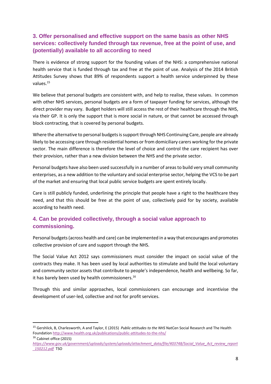## **3. Offer personalised and effective support on the same basis as other NHS services: collectively funded through tax revenue, free at the point of use, and (potentially) available to all according to need**

There is evidence of strong support for the founding values of the NHS: a comprehensive national health service that is funded through tax and free at the point of use. Analysis of the 2014 British Attitudes Survey shows that 89% of respondents support a health service underpinned by these values.<sup>15</sup>

We believe that personal budgets are consistent with, and help to realise, these values. In common with other NHS services, personal budgets are a form of taxpayer funding for services, although the direct provider may vary. Budget holders will still access the rest of their healthcare through the NHS, via their GP. It is only the support that is more social in nature, or that cannot be accessed through block contracting, that is covered by personal budgets.

Where the alternative to personal budgets is support through NHS Continuing Care, people are already likely to be accessing care through residential homes or from domiciliary carers working for the private sector. The main difference is therefore the level of choice and control the care recipient has over their provision, rather than a new division between the NHS and the private sector.

Personal budgets have also been used successfully in a number of areas to build very small community enterprises, as a new addition to the voluntary and social enterprise sector, helping the VCS to be part of the market and ensuring that local public service budgets are spent entirely locally.

Care is still publicly funded, underlining the principle that people have a right to the healthcare they need, and that this should be free at the point of use, collectively paid for by society, available according to health need.

## **4. Can be provided collectively, through a social value approach to commissioning.**

Personal budgets (across health and care) can be implemented in a way that encourages and promotes collective provision of care and support through the NHS.

The Social Value Act 2012 says commissioners must consider the impact on social value of the contracts they make. It has been used by local authorities to stimulate and build the local voluntary and community sector assets that contribute to people's independence, health and wellbeing. So far, it has barely been used by health commissioners.<sup>16</sup>

Through this and similar approaches, local commissioners can encourage and incentivise the development of user-led, collective and not for profit services.

<sup>15</sup> Gershlick, B, Charlesworth, A and Taylor, E (2015) *Public attitudes to the NHS* NatCen Social Research and The Health Foundation<http://www.health.org.uk/publications/public-attitudes-to-the-nhs/> <sup>16</sup> Cabinet office (2015)

*[https://www.gov.uk/government/uploads/system/uploads/attachment\\_data/file/403748/Social\\_Value\\_Act\\_review\\_report](https://www.gov.uk/government/uploads/system/uploads/attachment_data/file/403748/Social_Value_Act_review_report_150212.pdf) [\\_150212.pdf](https://www.gov.uk/government/uploads/system/uploads/attachment_data/file/403748/Social_Value_Act_review_report_150212.pdf)* TSO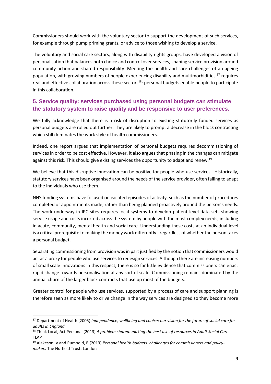Commissioners should work with the voluntary sector to support the development of such services, for example through pump priming grants, or advice to those wishing to develop a service.

The voluntary and social care sectors, along with disability rights groups, have developed a vision of personalisation that balances both choice and control over services, shaping service provision around community action and shared responsibility. Meeting the health and care challenges of an ageing population, with growing numbers of people experiencing disability and multimorbidities, <sup>17</sup> requires real and effective collaboration across these sectors<sup>18</sup>: personal budgets enable people to participate in this collaboration.

## **5. Service quality: services purchased using personal budgets can stimulate the statutory system to raise quality and be responsive to user preferences.**

We fully acknowledge that there is a risk of disruption to existing statutorily funded services as personal budgets are rolled out further. They are likely to prompt a decrease in the block contracting which still dominates the work style of health commissioners.

Indeed, one report argues that implementation of personal budgets requires decommissioning of services in order to be cost effective. However, it also argues that phasing in the changes can mitigate against this risk. This should give existing services the opportunity to adapt and renew.<sup>19</sup>

We believe that this disruptive innovation can be positive for people who use services. Historically, statutory services have been organised around the needs of the service provider, often failing to adapt to the individuals who use them.

NHS funding systems have focused on isolated episodes of activity, such as the number of procedures completed or appointments made, rather than being planned proactively around the person's needs. The work underway in IPC sites requires local systems to develop patient level data sets showing service usage and costs incurred across the system by people with the most complex needs, including in acute, community, mental health and social care. Understanding these costs at an individual level is a critical prerequisite to making the money work differently - regardless of whether the person takes a personal budget.

Separating commissioning from provision was in part justified by the notion that commissioners would act as a proxy for people who use services to redesign services. Although there are increasing numbers of small scale innovations in this respect, there is so far little evidence that commissioners can enact rapid change towards personalisation at any sort of scale. Commissioning remains dominated by the annual churn of the larger block contracts that use up most of the budgets.

Greater control for people who use services, supported by a process of care and support planning is therefore seen as more likely to drive change in the way services are designed so they become more

<sup>17</sup> Department of Health (2005) *Independence, wellbeing and choice: our vision for the future of social care for adults in England* 

<sup>18</sup> Think Local, Act Personal (2013) *A problem shared: making the best use of resources in Adult Social Care* TLAP

<sup>19</sup> Alakeson, V and Rumbold, B (2013) *Personal health budgets: challenges for commissioners and policymakers* The Nuffield Trust: London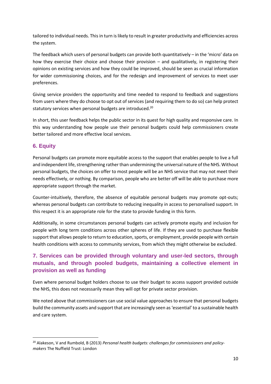tailored to individual needs. This in turn is likely to result in greater productivity and efficiencies across the system.

The feedback which users of personal budgets can provide both quantitatively – in the 'micro' data on how they exercise their choice and choose their provision – and qualitatively, in registering their opinions on existing services and how they could be improved, should be seen as crucial information for wider commissioning choices, and for the redesign and improvement of services to meet user preferences.

Giving service providers the opportunity and time needed to respond to feedback and suggestions from users where they do choose to opt out of services (and requiring them to do so) can help protect statutory services when personal budgets are introduced.<sup>20</sup>

In short, this user feedback helps the public sector in its quest for high quality and responsive care. In this way understanding how people use their personal budgets could help commissioners create better tailored and more effective local services.

## **6. Equity**

1

Personal budgets can promote more equitable access to the support that enables people to live a full and independent life, strengthening rather than undermining the universal nature ofthe NHS. Without personal budgets, the choices on offer to most people will be an NHS service that may not meet their needs effectively, or nothing. By comparison, people who are better off will be able to purchase more appropriate support through the market.

Counter-intuitively, therefore, the absence of equitable personal budgets may promote opt-outs; whereas personal budgets can contribute to reducing inequality in access to personalised support. In this respect it is an appropriate role for the state to provide funding in this form.

Additionally, in some circumstances personal budgets can actively promote equity and inclusion for people with long term conditions across other spheres of life. If they are used to purchase flexible support that allows people to return to education, sports, or employment, provide people with certain health conditions with access to community services, from which they might otherwise be excluded.

# **7. Services can be provided through voluntary and user-led sectors, through mutuals, and through pooled budgets, maintaining a collective element in provision as well as funding**

Even where personal budget holders choose to use their budget to access support provided outside the NHS, this does not necessarily mean they will opt for private sector provision.

We noted above that commissioners can use social value approaches to ensure that personal budgets build the community assets and support that are increasingly seen as 'essential' to a sustainable health and care system.

<sup>20</sup> Alakeson, V and Rumbold, B (2013) *Personal health budgets: challenges for commissioners and policymakers* The Nuffield Trust: London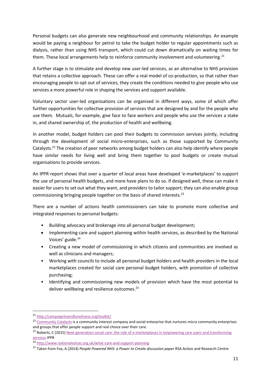Personal budgets can also generate new neighbourhood and community relationships. An example would be paying a neighbour for petrol to take the budget holder to regular appointments such as dialysis, rather than using NHS transport, which could cut down dramatically on waiting times for them. These local arrangements help to reinforce community involvement and volunteering.<sup>21</sup>

A further stage is to stimulate and develop new user-led services, as an alternative to NHS provision that retains a collective approach. These can offer a real model of co-production, so that rather than encouraging people to opt out of services, they create the conditions needed to give people who use services a more powerful role in shaping the services and support available.

Voluntary sector user-led organisations can be organised in different ways, some of which offer further opportunities for collective provision of services that are designed by and for the people who use them. Mutuals, for example, give face to face workers and people who use the services a stake in, and shared ownership of, the production of health and wellbeing.

In another model, budget holders can pool their budgets to commission services jointly, including through the development of social micro-enterprises, such as those supported by Community Catalysts.<sup>22</sup> The creation of peer networks among budget holders can also help identify where people have similar needs for living well and bring them together to pool budgets or create mutual organisations to provide services.

An IPPR report shows that over a quarter of local areas have developed 'e-marketplaces' to support the use of personal health budgets, and more have plans to do so. If designed well, these can make it easier for users to set out what they want, and providers to tailor support; they can also enable group commissioning bringing people together on the basis of shared interests.<sup>23</sup>

There are a number of actions health commissioners can take to promote more collective and integrated responses to personal budgets:

- Building advocacy and brokerage into all personal budget development;
- Implementing care and support planning within health services, as described by the National Voices' guide.<sup>24</sup>
- Creating a new model of commissioning in which citizens and communities are involved as well as clinicians and managers;
- Working with councils to include all personal budget holders and health providers in the local marketplaces created for social care personal budget holders, with promotion of collective purchasing;
- Identifying and commissioning new models of provision which have the most potential to deliver wellbeing and resilience outcomes.<sup>25</sup>

1

<sup>21</sup> <http://campaigntoendloneliness.org/toolkit/>

<sup>&</sup>lt;sup>22</sup> [Community Catalysts](http://www.communitycatalysts.co.uk/) is a community interest company and social enterprise that nurtures micro community enterprises and groups that offer people support and real choice over their care.

<sup>&</sup>lt;sup>23</sup> Roberts, C (2015) Next-generation social care: the role of e-marketplaces in empowering care users and transforming [services](http://www.ippr.org/read/next-generation-social-care) IPPR

<sup>24</sup> <http://www.nationalvoices.org.uk/what-care-and-support-planning>

<sup>25</sup> Taken from Fox, A (2014) *People Powered NHS: a Power to Create discussion paper* RSA Action and Research Centre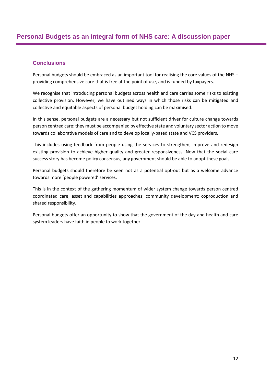#### **Conclusions**

Personal budgets should be embraced as an important tool for realising the core values of the NHS – providing comprehensive care that is free at the point of use, and is funded by taxpayers.

We recognise that introducing personal budgets across health and care carries some risks to existing collective provision. However, we have outlined ways in which those risks can be mitigated and collective and equitable aspects of personal budget holding can be maximised.

In this sense, personal budgets are a necessary but not sufficient driver for culture change towards person centred care: they must be accompanied by effective state and voluntary sector action to move towards collaborative models of care and to develop locally-based state and VCS providers.

This includes using feedback from people using the services to strengthen, improve and redesign existing provision to achieve higher quality and greater responsiveness. Now that the social care success story has become policy consensus, any government should be able to adopt these goals.

Personal budgets should therefore be seen not as a potential opt-out but as a welcome advance towards more 'people powered' services.

This is in the context of the gathering momentum of wider system change towards person centred coordinated care; asset and capabilities approaches; community development; coproduction and shared responsibility.

Personal budgets offer an opportunity to show that the government of the day and health and care system leaders have faith in people to work together.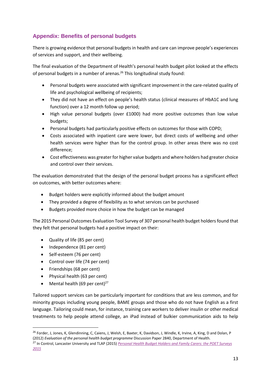# **Appendix: Benefits of personal budgets**

There is growing evidence that personal budgets in health and care can improve people's experiences of services and support, and their wellbeing.

The final evaluation of the Department of Health's personal health budget pilot looked at the effects of personal budgets in a number of arenas.<sup>26</sup> This longitudinal study found:

- Personal budgets were associated with significant improvement in the care-related quality of life and psychological wellbeing of recipients;
- They did not have an effect on people's health status (clinical measures of HbA1C and lung function) over a 12 month follow up period;
- High value personal budgets (over £1000) had more positive outcomes than low value budgets;
- Personal budgets had particularly positive effects on outcomes for those with COPD;
- Costs associated with inpatient care were lower, but direct costs of wellbeing and other health services were higher than for the control group. In other areas there was no cost difference;
- Cost effectiveness was greater for higher value budgets and where holders had greater choice and control over their services.

The evaluation demonstrated that the design of the personal budget process has a significant effect on outcomes, with better outcomes where:

- Budget holders were explicitly informed about the budget amount
- They provided a degree of flexibility as to what services can be purchased
- Budgets provided more choice in how the budget can be managed

The 2015 Personal Outcomes Evaluation Tool Survey of 307 personal health budget holders found that they felt that personal budgets had a positive impact on their:

- Quality of life (85 per cent)
- Independence (81 per cent)
- Self-esteem (76 per cent)
- Control over life (74 per cent)
- Friendships (68 per cent)

**.** 

- Physical health (63 per cent)
- Mental health (69 per cent) $27$

Tailored support services can be particularly important for conditions that are less common, and for minority groups including young people, BAME groups and those who do not have English as a first language. Tailoring could mean, for instance, training care workers to deliver insulin or other medical treatments to help people attend college, an iPad instead of bulkier communication aids to help

<sup>&</sup>lt;sup>26</sup> Forder, J, Jones, K, Glendinning, C, Caiens, J, Welsh, E, Baxter, K, Davidson, J, Windle, K, Irvine, A, King, D and Dolan, P (2012) *Evaluation of the personal health budget programme* Discussion Paper 2840, Department of Health.

<sup>27</sup> In Control, Lancaster University and TLAP (2015) *[Personal Health Budget Holders and Family Carers: the POET Surveys](http://www.thinklocalactpersonal.org.uk/_library/Resources/SDS/POETPHB2015FINAL.pdf)  [2015](http://www.thinklocalactpersonal.org.uk/_library/Resources/SDS/POETPHB2015FINAL.pdf)*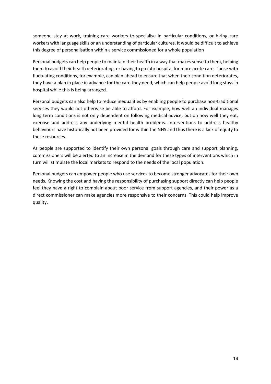someone stay at work, training care workers to specialise in particular conditions, or hiring care workers with language skills or an understanding of particular cultures. It would be difficult to achieve this degree of personalisation within a service commissioned for a whole population

Personal budgets can help people to maintain their health in a way that makes sense to them, helping them to avoid their health deteriorating, or having to go into hospital for more acute care. Those with fluctuating conditions, for example, can plan ahead to ensure that when their condition deteriorates, they have a plan in place in advance for the care they need, which can help people avoid long stays in hospital while this is being arranged.

Personal budgets can also help to reduce inequalities by enabling people to purchase non-traditional services they would not otherwise be able to afford. For example, how well an individual manages long term conditions is not only dependent on following medical advice, but on how well they eat, exercise and address any underlying mental health problems. Interventions to address healthy behaviours have historically not been provided for within the NHS and thus there is a lack of equity to these resources.

As people are supported to identify their own personal goals through care and support planning, commissioners will be alerted to an increase in the demand for these types of interventions which in turn will stimulate the local markets to respond to the needs of the local population.

Personal budgets can empower people who use services to become stronger advocates for their own needs. Knowing the cost and having the responsibility of purchasing support directly can help people feel they have a right to complain about poor service from support agencies, and their power as a direct commissioner can make agencies more responsive to their concerns. This could help improve quality.